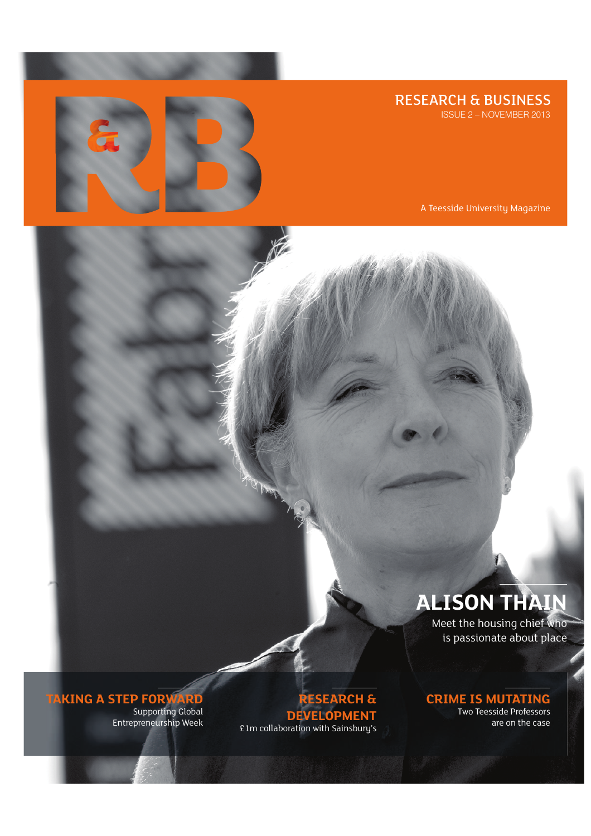RESEARCH & BUSINESS

ISSUE 2 – NOVEMBER 2013



A Teesside University Magazine

## **ALISON THAIN**

Meet the housing chief who is passionate about place

## **CRIME IS MUTATING** Two Teesside Professors

are on the case

**RESEARCH & DEVELOPMENT** £1m collaboration with Sainsbury's

**TAKING A STEP FORWARD** Supporting Global

Entrepreneurship Week